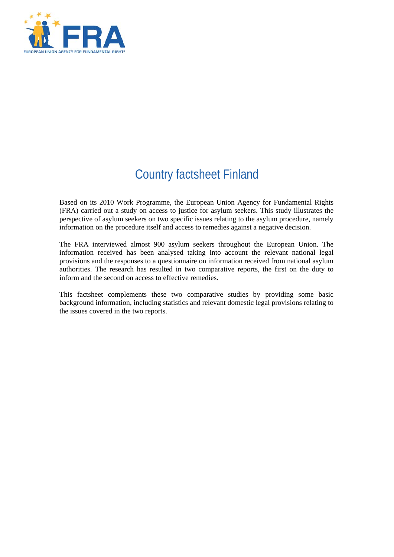

# Country factsheet Finland

Based on its 2010 Work Programme, the European Union Agency for Fundamental Rights (FRA) carried out a study on access to justice for asylum seekers. This study illustrates the perspective of asylum seekers on two specific issues relating to the asylum procedure, namely information on the procedure itself and access to remedies against a negative decision.

The FRA interviewed almost 900 asylum seekers throughout the European Union. The information received has been analysed taking into account the relevant national legal provisions and the responses to a questionnaire on information received from national asylum authorities. The research has resulted in two comparative reports, the first on the duty to inform and the second on access to effective remedies.

This factsheet complements these two comparative studies by providing some basic background information, including statistics and relevant domestic legal provisions relating to the issues covered in the two reports.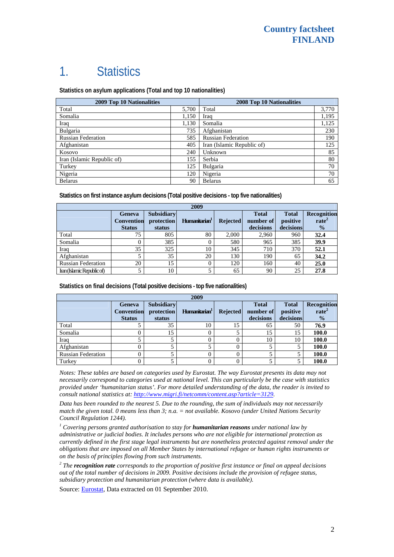# 1. Statistics

**Statistics on asylum applications (Total and top 10 nationalities)**

| <b>2009 Top 10 Nationalities</b> | <b>2008 Top 10 Nationalities</b> |                            |       |
|----------------------------------|----------------------------------|----------------------------|-------|
| Total                            | 5.700                            | Total                      | 3,770 |
| Somalia                          | 1,150                            | Iraq                       | 1,195 |
| Iraq                             | 1,130                            | Somalia                    | 1,125 |
| Bulgaria                         | 735                              | Afghanistan                | 230   |
| <b>Russian Federation</b>        | 585                              | <b>Russian Federation</b>  | 190   |
| Afghanistan                      | 405                              | Iran (Islamic Republic of) | 125   |
| Kosovo                           | 240                              | Unknown                    | 85    |
| Iran (Islamic Republic of)       | 155                              | Serbia                     | 80    |
| Turkey                           | 125                              | Bulgaria                   | 70    |
| Nigeria                          | 120                              | Nigeria                    | 70    |
| <b>Belarus</b>                   | 90                               | <b>Belarus</b>             | 65    |

**Statistics on first instance asylum decisions (Total positive decisions - top five nationalities)**

| 2009                       |                                              |                                           |                           |                 |                                        |                                       |                                                   |
|----------------------------|----------------------------------------------|-------------------------------------------|---------------------------|-----------------|----------------------------------------|---------------------------------------|---------------------------------------------------|
|                            | Geneva<br><b>Convention</b><br><b>Status</b> | <b>Subsidiary</b><br>protection<br>status | Humanitarian <sup>1</sup> | <b>Rejected</b> | <b>Total</b><br>number of<br>decisions | <b>Total</b><br>positive<br>decisions | Recognition<br>rate <sup>2</sup><br>$\frac{0}{2}$ |
| Total                      | 75                                           | 805                                       | 80                        | 2.000           | 2.960                                  | 960                                   | 32.4                                              |
| Somalia                    |                                              | 385                                       |                           | 580             | 965                                    | 385                                   | 39.9                                              |
| Iraq                       | 35                                           | 325                                       | 10                        | 345             | 710                                    | 370                                   | 52.1                                              |
| Afghanistan                |                                              | 35                                        | 20                        | 130             | 190                                    | 65                                    | 34.2                                              |
| <b>Russian Federation</b>  | 20                                           | 15                                        |                           | 120             | 160                                    | 40                                    | 25.0                                              |
| Iran (Islamic Republic of) |                                              | 10                                        |                           | 65              | 90                                     | 25                                    | 27.8                                              |

**Statistics on final decisions (Total positive decisions - top five nationalities)** 

| 2009                      |                                              |                                           |                           |                 |                                        |                                       |                                                   |
|---------------------------|----------------------------------------------|-------------------------------------------|---------------------------|-----------------|----------------------------------------|---------------------------------------|---------------------------------------------------|
|                           | Geneva<br><b>Convention</b><br><b>Status</b> | <b>Subsidiary</b><br>protection<br>status | Humanitarian <sup>1</sup> | <b>Rejected</b> | <b>Total</b><br>number of<br>decisions | <b>Total</b><br>positive<br>decisions | Recognition<br>rate <sup>2</sup><br>$\frac{0}{0}$ |
| Total                     |                                              | 35                                        | 10                        | 15              | 65                                     | 50                                    | 76.9                                              |
| Somalia                   |                                              | 15                                        |                           |                 | 15                                     | 15                                    | 100.0                                             |
| Iraq                      |                                              |                                           |                           | 0               | 10                                     | 10                                    | 100.0                                             |
| Afghanistan               |                                              |                                           |                           |                 |                                        |                                       | 100.0                                             |
| <b>Russian Federation</b> |                                              |                                           |                           |                 |                                        |                                       | 100.0                                             |
| Turkey                    |                                              |                                           |                           |                 |                                        |                                       | 100.0                                             |

*Notes: These tables are based on categories used by Eurostat. The way Eurostat presents its data may not necessarily correspond to categories used at national level. This can particularly be the case with statistics provided under 'humanitarian status'. For more detailed understanding of the data, the reader is invited to consult national statistics at:<http://www.migri.fi/netcomm/content.asp?article=3129>.* 

*Data has been rounded to the nearest 5. Due to the rounding, the sum of individuals may not necessarily match the given total. 0 means less than 3; n.a. = not available. Kosovo (under United Nations Security Council Regulation 1244).* 

<sup>1</sup> Covering persons granted authorisation to stay for **humanitarian reasons** under national law by *administrative or judicial bodies. It includes persons who are not eligible for international protection as currently defined in the first stage legal instruments but are nonetheless protected against removal under the obligations that are imposed on all Member States by international refugee or human rights instruments or on the basis of principles flowing from such instruments.* 

*2 The recognition rate corresponds to the proportion of positive first instance or final on appeal decisions out of the total number of decisions in 2009. Positive decisions include the provision of refugee status, subsidiary protection and humanitarian protection (where data is available).* 

Source: **[Eurostat](http://epp.eurostat.ec.europa.eu/)**, Data extracted on 01 September 2010.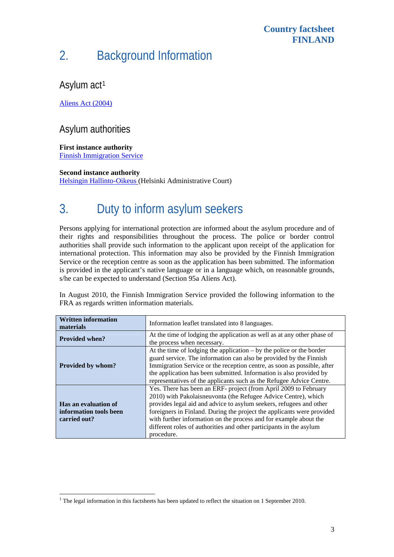#### **Country factsheet FINLAND**

# 2. Background Information

#### Asylum act<sup>[1](#page-2-0)</sup>

[Aliens Act \(2004\)](http://www.finlex.fi/en/laki/kaannokset/2004/en20040301.pdf)

### Asylum authorities

**First instance authority**  [Finnish Immigration Service](http://www.migri.fi/netcomm/Default.asp?language=EN)

#### **Second instance authority**

l

[Helsingin Hallinto-Oikeus](http://www.oikeus.fi/5992.htm) (Helsinki Administrative Court)

# 3. Duty to inform asylum seekers

Persons applying for international protection are informed about the asylum procedure and of their rights and responsibilities throughout the process. The police or border control authorities shall provide such information to the applicant upon receipt of the application for international protection. This information may also be provided by the Finnish Immigration Service or the reception centre as soon as the application has been submitted. The information is provided in the applicant's native language or in a language which, on reasonable grounds, s/he can be expected to understand (Section 95a Aliens Act).

In August 2010, the Finnish Immigration Service provided the following information to the FRA as regards written information materials.

| <b>Written information</b><br>materials                        | Information leaflet translated into 8 languages.                                                                                                                                                                                                                                                                                                                                                                                              |  |  |
|----------------------------------------------------------------|-----------------------------------------------------------------------------------------------------------------------------------------------------------------------------------------------------------------------------------------------------------------------------------------------------------------------------------------------------------------------------------------------------------------------------------------------|--|--|
| <b>Provided when?</b>                                          | At the time of lodging the application as well as at any other phase of<br>the process when necessary.                                                                                                                                                                                                                                                                                                                                        |  |  |
| Provided by whom?                                              | At the time of lodging the application $-$ by the police or the border<br>guard service. The information can also be provided by the Finnish<br>Immigration Service or the reception centre, as soon as possible, after<br>the application has been submitted. Information is also provided by<br>representatives of the applicants such as the Refugee Advice Centre.                                                                        |  |  |
| Has an evaluation of<br>information tools been<br>carried out? | Yes. There has been an ERF- project (from April 2009 to February<br>2010) with Pakolaisneuvonta (the Refugee Advice Centre), which<br>provides legal aid and advice to asylum seekers, refugees and other<br>foreigners in Finland. During the project the applicants were provided<br>with further information on the process and for example about the<br>different roles of authorities and other participants in the asylum<br>procedure. |  |  |

<span id="page-2-0"></span><sup>&</sup>lt;sup>1</sup> The legal information in this factsheets has been updated to reflect the situation on 1 September 2010.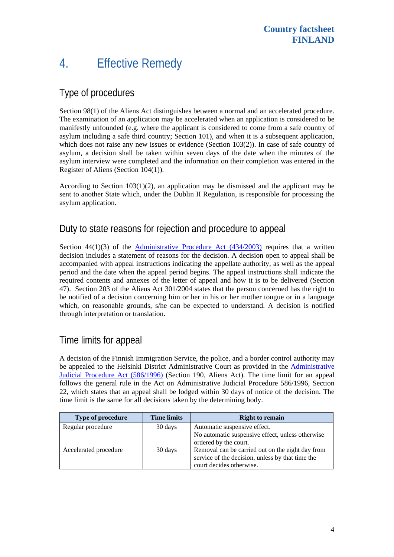## 4. Effective Remedy

### Type of procedures

Section 98(1) of the Aliens Act distinguishes between a normal and an accelerated procedure. The examination of an application may be accelerated when an application is considered to be manifestly unfounded (e.g. where the applicant is considered to come from a safe country of asylum including a safe third country; Section 101), and when it is a subsequent application, which does not raise any new issues or evidence (Section 103(2)). In case of safe country of asylum, a decision shall be taken within seven days of the date when the minutes of the asylum interview were completed and the information on their completion was entered in the Register of Aliens (Section 104(1)).

According to Section  $103(1)(2)$ , an application may be dismissed and the applicant may be sent to another State which, under the Dublin II Regulation, is responsible for processing the asylum application.

#### Duty to state reasons for rejection and procedure to appeal

Section  $44(1)(3)$  of the Administrative Procedure Act  $(434/2003)$  requires that a written decision includes a statement of reasons for the decision. A decision open to appeal shall be accompanied with appeal instructions indicating the appellate authority, as well as the appeal period and the date when the appeal period begins. The appeal instructions shall indicate the required contents and annexes of the letter of appeal and how it is to be delivered (Section 47). Section 203 of the Aliens Act 301/2004 states that the person concerned has the right to be notified of a decision concerning him or her in his or her mother tongue or in a language which, on reasonable grounds, s/he can be expected to understand. A decision is notified through interpretation or translation.

#### Time limits for appeal

A decision of the Finnish Immigration Service, the police, and a border control authority may be appealed to the Helsinki District Administrative Court as provided in the [Administrative](http://www.finlex.fi/fi/laki/kaannokset/1996/en19960586.pdf)  [Judicial Procedure Act \(586/1996\)](http://www.finlex.fi/fi/laki/kaannokset/1996/en19960586.pdf) (Section 190, Aliens Act). The time limit for an appeal follows the general rule in the Act on Administrative Judicial Procedure 586/1996, Section 22, which states that an appeal shall be lodged within 30 days of notice of the decision. The time limit is the same for all decisions taken by the determining body.

| <b>Type of procedure</b> | <b>Time limits</b> | <b>Right to remain</b>                                                                                                                                                                                        |
|--------------------------|--------------------|---------------------------------------------------------------------------------------------------------------------------------------------------------------------------------------------------------------|
| Regular procedure        | 30 days            | Automatic suspensive effect.                                                                                                                                                                                  |
| Accelerated procedure    | 30 days            | No automatic suspensive effect, unless otherwise<br>ordered by the court.<br>Removal can be carried out on the eight day from<br>service of the decision, unless by that time the<br>court decides otherwise. |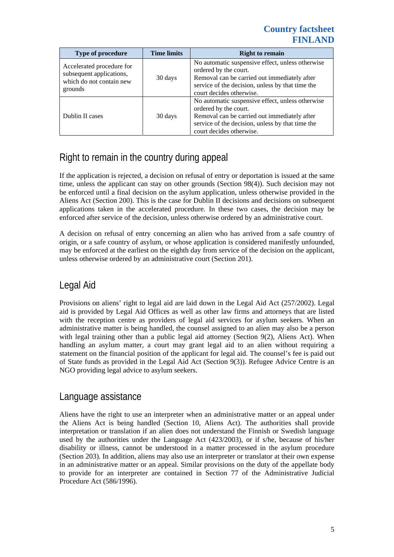**Country factsheet FINLAND** 

| Type of procedure                                                                            | <b>Time limits</b> | <b>Right to remain</b>                                                                                                                                                                                    |
|----------------------------------------------------------------------------------------------|--------------------|-----------------------------------------------------------------------------------------------------------------------------------------------------------------------------------------------------------|
| Accelerated procedure for<br>subsequent applications,<br>which do not contain new<br>grounds | 30 days            | No automatic suspensive effect, unless otherwise<br>ordered by the court.<br>Removal can be carried out immediately after<br>service of the decision, unless by that time the<br>court decides otherwise. |
| Dublin II cases                                                                              | 30 days            | No automatic suspensive effect, unless otherwise<br>ordered by the court.<br>Removal can be carried out immediately after<br>service of the decision, unless by that time the<br>court decides otherwise. |

### Right to remain in the country during appeal

If the application is rejected, a decision on refusal of entry or deportation is issued at the same time, unless the applicant can stay on other grounds (Section 98(4)). Such decision may not be enforced until a final decision on the asylum application, unless otherwise provided in the Aliens Act (Section 200). This is the case for Dublin II decisions and decisions on subsequent applications taken in the accelerated procedure. In these two cases, the decision may be enforced after service of the decision, unless otherwise ordered by an administrative court.

A decision on refusal of entry concerning an alien who has arrived from a safe country of origin, or a safe country of asylum, or whose application is considered manifestly unfounded, may be enforced at the earliest on the eighth day from service of the decision on the applicant, unless otherwise ordered by an administrative court (Section 201).

#### Legal Aid

Provisions on aliens' right to legal aid are laid down in the Legal Aid Act (257/2002). Legal aid is provided by Legal Aid Offices as well as other law firms and attorneys that are listed with the reception centre as providers of legal aid services for asylum seekers. When an administrative matter is being handled, the counsel assigned to an alien may also be a person with legal training other than a public legal aid attorney (Section 9(2), Aliens Act). When handling an asylum matter, a court may grant legal aid to an alien without requiring a statement on the financial position of the applicant for legal aid. The counsel's fee is paid out of State funds as provided in the Legal Aid Act (Section 9(3)). Refugee Advice Centre is an NGO providing legal advice to asylum seekers.

#### Language assistance

Aliens have the right to use an interpreter when an administrative matter or an appeal under the Aliens Act is being handled (Section 10, Aliens Act). The authorities shall provide interpretation or translation if an alien does not understand the Finnish or Swedish language used by the authorities under the Language Act (423/2003), or if s/he, because of his/her disability or illness, cannot be understood in a matter processed in the asylum procedure (Section 203). In addition, aliens may also use an interpreter or translator at their own expense in an administrative matter or an appeal. Similar provisions on the duty of the appellate body to provide for an interpreter are contained in Section 77 of the [Administrative Judicial](http://www.finlex.fi/fi/laki/kaannokset/1996/en19960586.pdf)  [Procedure Act \(586/1996\).](http://www.finlex.fi/fi/laki/kaannokset/1996/en19960586.pdf)